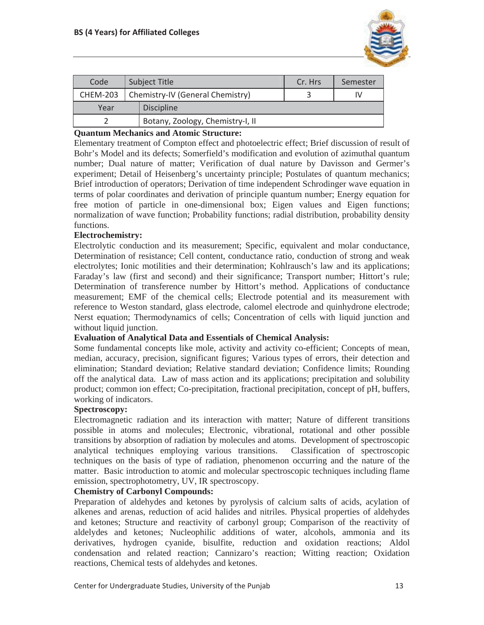

| Code            | Subject Title |                                  | Cr. Hrs | Semester |
|-----------------|---------------|----------------------------------|---------|----------|
| <b>CHEM-203</b> |               | Chemistry-IV (General Chemistry) |         | ιv       |
| Year            |               | <b>Discipline</b>                |         |          |
|                 |               | Botany, Zoology, Chemistry-I, II |         |          |

## **Quantum Mechanics and Atomic Structure:**

Elementary treatment of Compton effect and photoelectric effect; Brief discussion of result of Bohr's Model and its defects; Somerfield's modification and evolution of azimuthal quantum number; Dual nature of matter; Verification of dual nature by Davisson and Germer's experiment; Detail of Heisenberg's uncertainty principle; Postulates of quantum mechanics; Brief introduction of operators; Derivation of time independent Schrodinger wave equation in terms of polar coordinates and derivation of principle quantum number; Energy equation for free motion of particle in one-dimensional box; Eigen values and Eigen functions; normalization of wave function; Probability functions; radial distribution, probability density functions.

### **Electrochemistry:**

Electrolytic conduction and its measurement; Specific, equivalent and molar conductance, Determination of resistance; Cell content, conductance ratio, conduction of strong and weak electrolytes; Ionic motilities and their determination; Kohlrausch's law and its applications; Faraday's law (first and second) and their significance; Transport number; Hittort's rule; Determination of transference number by Hittort's method. Applications of conductance measurement; EMF of the chemical cells; Electrode potential and its measurement with reference to Weston standard, glass electrode, calomel electrode and quinhydrone electrode; Nerst equation; Thermodynamics of cells; Concentration of cells with liquid junction and without liquid junction.

#### **Evaluation of Analytical Data and Essentials of Chemical Analysis:**

Some fundamental concepts like mole, activity and activity co-efficient; Concepts of mean, median, accuracy, precision, significant figures; Various types of errors, their detection and elimination; Standard deviation; Relative standard deviation; Confidence limits; Rounding off the analytical data. Law of mass action and its applications; precipitation and solubility product; common ion effect; Co-precipitation, fractional precipitation, concept of pH, buffers, working of indicators.

#### **Spectroscopy:**

Electromagnetic radiation and its interaction with matter; Nature of different transitions possible in atoms and molecules; Electronic, vibrational, rotational and other possible transitions by absorption of radiation by molecules and atoms. Development of spectroscopic analytical techniques employing various transitions. Classification of spectroscopic techniques on the basis of type of radiation, phenomenon occurring and the nature of the matter. Basic introduction to atomic and molecular spectroscopic techniques including flame emission, spectrophotometry, UV, IR spectroscopy.

#### **Chemistry of Carbonyl Compounds:**

Preparation of aldehydes and ketones by pyrolysis of calcium salts of acids, acylation of alkenes and arenas, reduction of acid halides and nitriles. Physical properties of aldehydes and ketones; Structure and reactivity of carbonyl group; Comparison of the reactivity of aldelydes and ketones; Nucleophilic additions of water, alcohols, ammonia and its derivatives, hydrogen cyanide, bisulfite, reduction and oxidation reactions; Aldol condensation and related reaction; Cannizaro's reaction; Witting reaction; Oxidation reactions, Chemical tests of aldehydes and ketones.